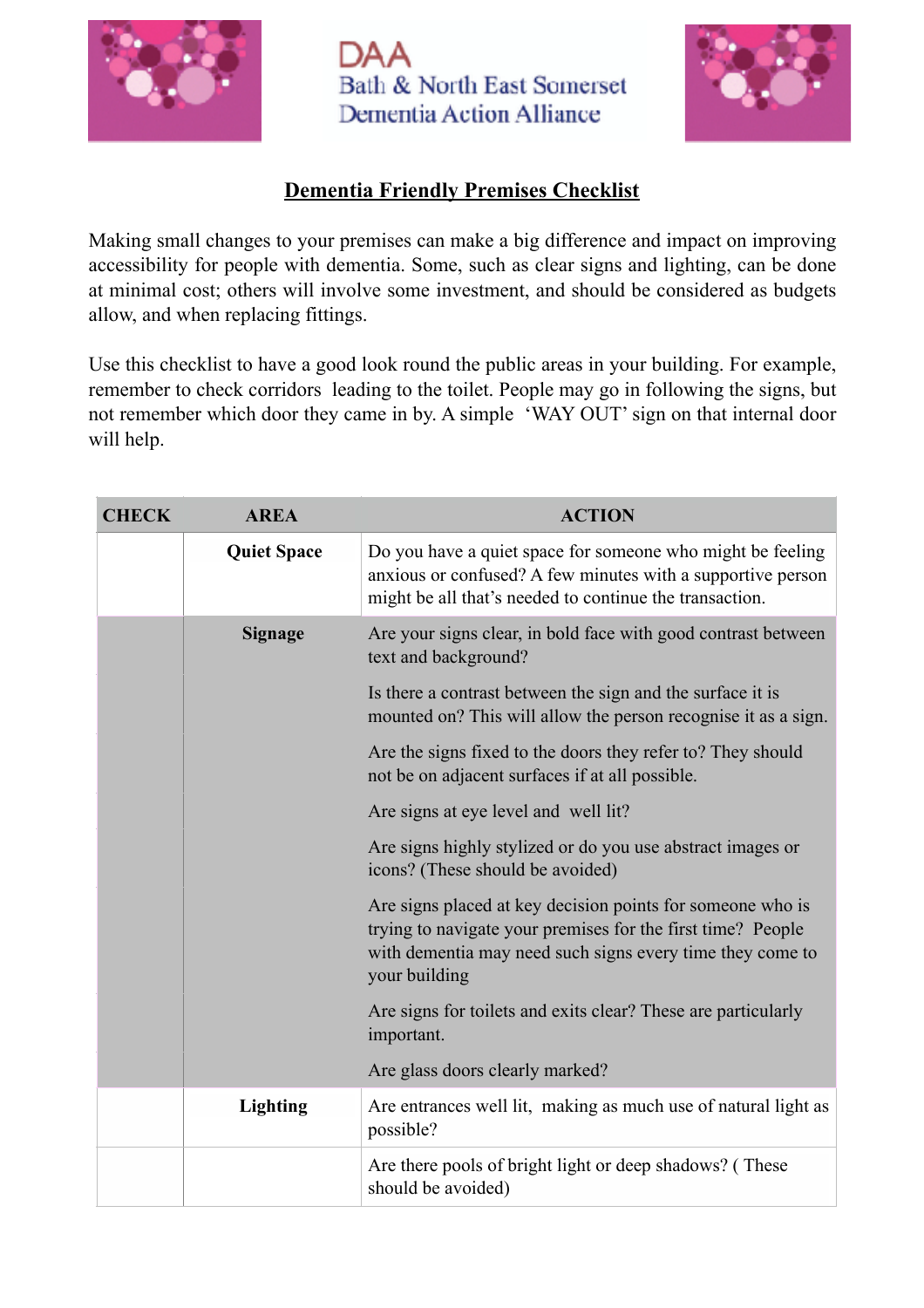

Bath & North East Somerset **Dementia Action Alliance** 



## **Dementia Friendly Premises Checklist**

Making small changes to your premises can make a big difference and impact on improving accessibility for people with dementia. Some, such as clear signs and lighting, can be done at minimal cost; others will involve some investment, and should be considered as budgets allow, and when replacing fittings.

Use this checklist to have a good look round the public areas in your building. For example, remember to check corridors leading to the toilet. People may go in following the signs, but not remember which door they came in by. A simple 'WAY OUT' sign on that internal door will help.

| <b>CHECK</b> | <b>AREA</b>        | <b>ACTION</b>                                                                                                                                                                                           |
|--------------|--------------------|---------------------------------------------------------------------------------------------------------------------------------------------------------------------------------------------------------|
|              | <b>Quiet Space</b> | Do you have a quiet space for someone who might be feeling<br>anxious or confused? A few minutes with a supportive person<br>might be all that's needed to continue the transaction.                    |
|              | <b>Signage</b>     | Are your signs clear, in bold face with good contrast between<br>text and background?                                                                                                                   |
|              |                    | Is there a contrast between the sign and the surface it is<br>mounted on? This will allow the person recognise it as a sign.                                                                            |
|              |                    | Are the signs fixed to the doors they refer to? They should<br>not be on adjacent surfaces if at all possible.                                                                                          |
|              |                    | Are signs at eye level and well lit?                                                                                                                                                                    |
|              |                    | Are signs highly stylized or do you use abstract images or<br>icons? (These should be avoided)                                                                                                          |
|              |                    | Are signs placed at key decision points for someone who is<br>trying to navigate your premises for the first time? People<br>with dementia may need such signs every time they come to<br>your building |
|              |                    | Are signs for toilets and exits clear? These are particularly<br>important.                                                                                                                             |
|              |                    | Are glass doors clearly marked?                                                                                                                                                                         |
|              | <b>Lighting</b>    | Are entrances well lit, making as much use of natural light as<br>possible?                                                                                                                             |
|              |                    | Are there pools of bright light or deep shadows? (These<br>should be avoided)                                                                                                                           |